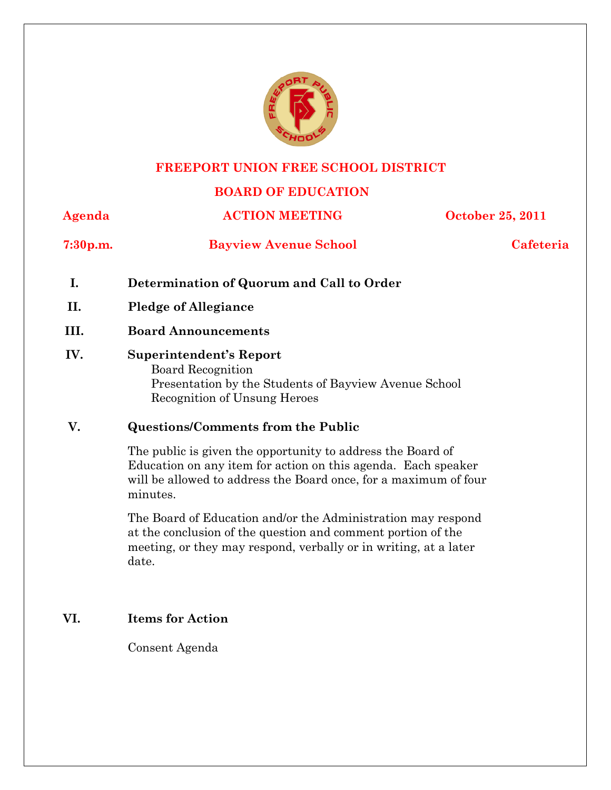

### **FREEPORT UNION FREE SCHOOL DISTRICT**

# **BOARD OF EDUCATION**

**Agenda ACTION MEETING October 25, 2011 7:30p.m. Bayview Avenue School Cafeteria I. Determination of Quorum and Call to Order** 

- **II. Pledge of Allegiance**
- **III. Board Announcements**
- **IV. Superintendent's Report**  Board Recognition Presentation by the Students of Bayview Avenue School Recognition of Unsung Heroes

## **V. Questions/Comments from the Public**

The public is given the opportunity to address the Board of Education on any item for action on this agenda. Each speaker will be allowed to address the Board once, for a maximum of four minutes.

The Board of Education and/or the Administration may respond at the conclusion of the question and comment portion of the meeting, or they may respond, verbally or in writing, at a later date.

# **VI. Items for Action**

Consent Agenda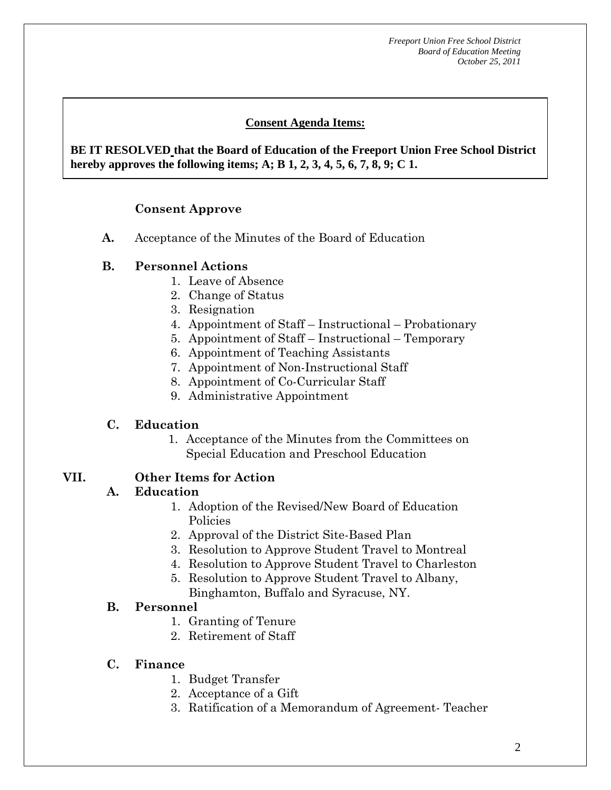# **Consent Agenda Items:**

 *Acceptance of the Minutes*  $\mathbf{A}$ **BE IT RESOLVED that the Board of Education of the Freeport Union Free School District hereby approves the following items; A; B 1, 2, 3, 4, 5, 6, 7, 8, 9; C 1.** 

# **Consent Approve**

**A.** Acceptance of the Minutes of the Board of Education

# **B. Personnel Actions**

 **AA. Consent - Approve** 

- 1. Leave of Absence
- 2. Change of Status
- 3. Resignation
- 4. Appointment of Staff Instructional Probationary
- 5. Appointment of Staff Instructional Temporary
- 6. Appointment of Teaching Assistants
- 7. Appointment of Non-Instructional Staff
- 8. Appointment of Co-Curricular Staff
- 9. Administrative Appointment

# **C. Education**

1. Acceptance of the Minutes from the Committees on Special Education and Preschool Education

#### **VII. Other Items for Action**

#### **A. Education**

- 1. Adoption of the Revised/New Board of Education Policies
- 2. Approval of the District Site-Based Plan
- 3. Resolution to Approve Student Travel to Montreal
- 4. Resolution to Approve Student Travel to Charleston
- 5. Resolution to Approve Student Travel to Albany, Binghamton, Buffalo and Syracuse, NY.

## **B. Personnel**

- 1. Granting of Tenure
- 2. Retirement of Staff

## **C. Finance**

- 1. Budget Transfer
- 2. Acceptance of a Gift
- 3. Ratification of a Memorandum of Agreement- Teacher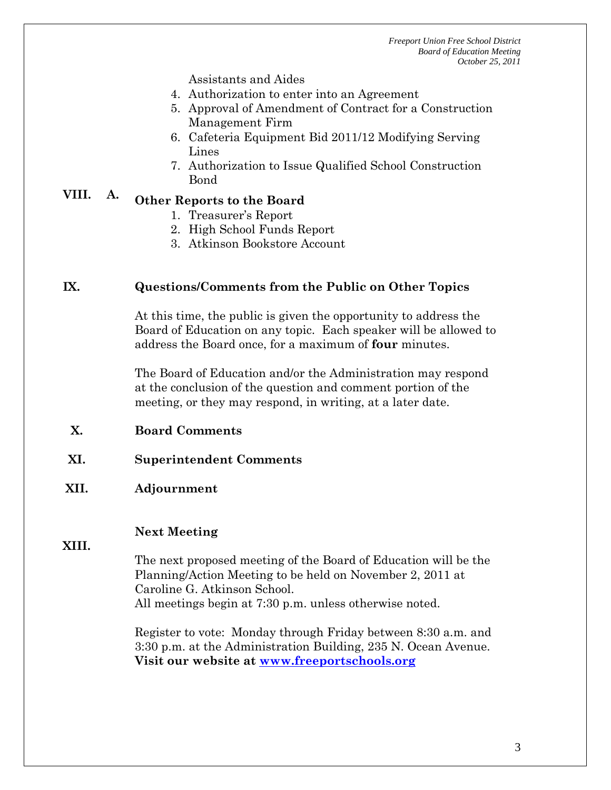Assistants and Aides

- 4. Authorization to enter into an Agreement
- 5. Approval of Amendment of Contract for a Construction Management Firm
- 6. Cafeteria Equipment Bid 2011/12 Modifying Serving Lines
- 7. Authorization to Issue Qualified School Construction Bond

# **VIII. A. Other Reports to the Board**

- 1. Treasurer's Report
- 2. High School Funds Report
- 3. Atkinson Bookstore Account

#### **IX. Questions/Comments from the Public on Other Topics**

At this time, the public is given the opportunity to address the Board of Education on any topic. Each speaker will be allowed to address the Board once, for a maximum of **four** minutes.

The Board of Education and/or the Administration may respond at the conclusion of the question and comment portion of the meeting, or they may respond, in writing, at a later date.

- **X. Board Comments**
- **XI. Superintendent Comments**

## **XII. Adjournment**

# **Next Meeting**

**XIII.** 

The next proposed meeting of the Board of Education will be the Planning/Action Meeting to be held on November 2, 2011 at Caroline G. Atkinson School. All meetings begin at 7:30 p.m. unless otherwise noted.

Register to vote: Monday through Friday between 8:30 a.m. and 3:30 p.m. at the Administration Building, 235 N. Ocean Avenue. **Visit our website at www.freeportschools.org**